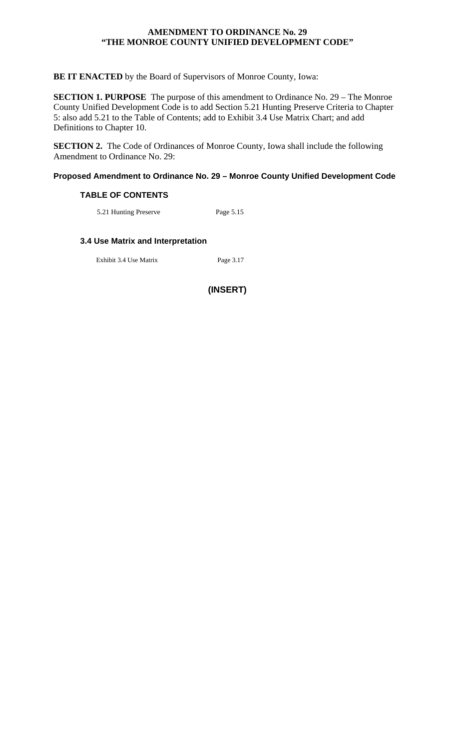## **AMENDMENT TO ORDINANCE No. 29 "THE MONROE COUNTY UNIFIED DEVELOPMENT CODE"**

## **BE IT ENACTED** by the Board of Supervisors of Monroe County, Iowa:

**SECTION 1. PURPOSE** The purpose of this amendment to Ordinance No. 29 – The Monroe County Unified Development Code is to add Section 5.21 Hunting Preserve Criteria to Chapter 5: also add 5.21 to the Table of Contents; add to Exhibit 3.4 Use Matrix Chart; and add Definitions to Chapter 10.

**SECTION 2.** The Code of Ordinances of Monroe County, Iowa shall include the following Amendment to Ordinance No. 29:

### **Proposed Amendment to Ordinance No. 29 – Monroe County Unified Development Code**

#### **TABLE OF CONTENTS**

5.21 Hunting Preserve Page 5.15

# **3.4 Use Matrix and Interpretation**

Exhibit 3.4 Use Matrix Page 3.17

**(INSERT)**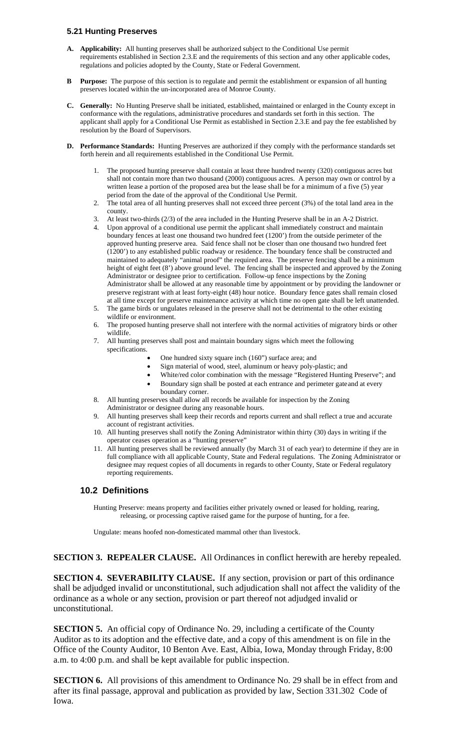#### **5.21 Hunting Preserves**

- **A. Applicability:** All hunting preserves shall be authorized subject to the Conditional Use permit requirements established in Section 2.3.E and the requirements of this section and any other applicable codes, regulations and policies adopted by the County, State or Federal Government.
- **B Purpose:** The purpose of this section is to regulate and permit the establishment or expansion of all hunting preserves located within the un-incorporated area of Monroe County.
- **C. Generally:** No Hunting Preserve shall be initiated, established, maintained or enlarged in the County except in conformance with the regulations, administrative procedures and standards set forth in this section. The applicant shall apply for a Conditional Use Permit as established in Section 2.3.E and pay the fee established by resolution by the Board of Supervisors.
- **D. Performance Standards:** Hunting Preserves are authorized if they comply with the performance standards set forth herein and all requirements established in the Conditional Use Permit.
	- 1. The proposed hunting preserve shall contain at least three hundred twenty (320) contiguous acres but shall not contain more than two thousand (2000) contiguous acres. A person may own or control by a written lease a portion of the proposed area but the lease shall be for a minimum of a five (5) year period from the date of the approval of the Conditional Use Permit.
	- 2. The total area of all hunting preserves shall not exceed three percent (3%) of the total land area in the county.
	- 3. At least two-thirds (2/3) of the area included in the Hunting Preserve shall be in an A-2 District.
	- 4. Upon approval of a conditional use permit the applicant shall immediately construct and maintain boundary fences at least one thousand two hundred feet (1200') from the outside perimeter of the approved hunting preserve area. Said fence shall not be closer than one thousand two hundred feet (1200') to any established public roadway or residence. The boundary fence shall be constructed and maintained to adequately "animal proof" the required area. The preserve fencing shall be a minimum height of eight feet (8') above ground level. The fencing shall be inspected and approved by the Zoning Administrator or designee prior to certification. Follow-up fence inspections by the Zoning Administrator shall be allowed at any reasonable time by appointment or by providing the landowner or preserve registrant with at least forty-eight (48) hour notice. Boundary fence gates shall remain closed at all time except for preserve maintenance activity at which time no open gate shall be left unattended.
	- 5. The game birds or ungulates released in the preserve shall not be detrimental to the other existing wildlife or environment.
	- 6. The proposed hunting preserve shall not interfere with the normal activities of migratory birds or other wildlife.
	- 7. All hunting preserves shall post and maintain boundary signs which meet the following specifications.
		- One hundred sixty square inch (160") surface area; and
		- Sign material of wood, steel, aluminum or heavy poly-plastic; and
		- White/red color combination with the message "Registered Hunting Preserve"; and
		- Boundary sign shall be posted at each entrance and perimeter gate and at every
		- boundary corner.
	- 8. All hunting preserves shall allow all records be available for inspection by the Zoning Administrator or designee during any reasonable hours.
	- 9. All hunting preserves shall keep their records and reports current and shall reflect a true and accurate account of registrant activities.
	- 10. All hunting preserves shall notify the Zoning Administrator within thirty (30) days in writing if the operator ceases operation as a "hunting preserve"
	- 11. All hunting preserves shall be reviewed annually (by March 31 of each year) to determine if they are in full compliance with all applicable County, State and Federal regulations. The Zoning Administrator or designee may request copies of all documents in regards to other County, State or Federal regulatory reporting requirements.

# **10.2 Definitions**

Hunting Preserve: means property and facilities either privately owned or leased for holding, rearing, releasing, or processing captive raised game for the purpose of hunting, for a fee.

Ungulate: means hoofed non-domesticated mammal other than livestock.

# **SECTION 3. REPEALER CLAUSE.** All Ordinances in conflict herewith are hereby repealed.

**SECTION 4. SEVERABILITY CLAUSE.** If any section, provision or part of this ordinance shall be adjudged invalid or unconstitutional, such adjudication shall not affect the validity of the ordinance as a whole or any section, provision or part thereof not adjudged invalid or unconstitutional.

**SECTION 5.** An official copy of Ordinance No. 29, including a certificate of the County Auditor as to its adoption and the effective date, and a copy of this amendment is on file in the Office of the County Auditor, 10 Benton Ave. East, Albia, Iowa, Monday through Friday, 8:00 a.m. to 4:00 p.m. and shall be kept available for public inspection.

**SECTION 6.** All provisions of this amendment to Ordinance No. 29 shall be in effect from and after its final passage, approval and publication as provided by law, Section 331.302 Code of Iowa.